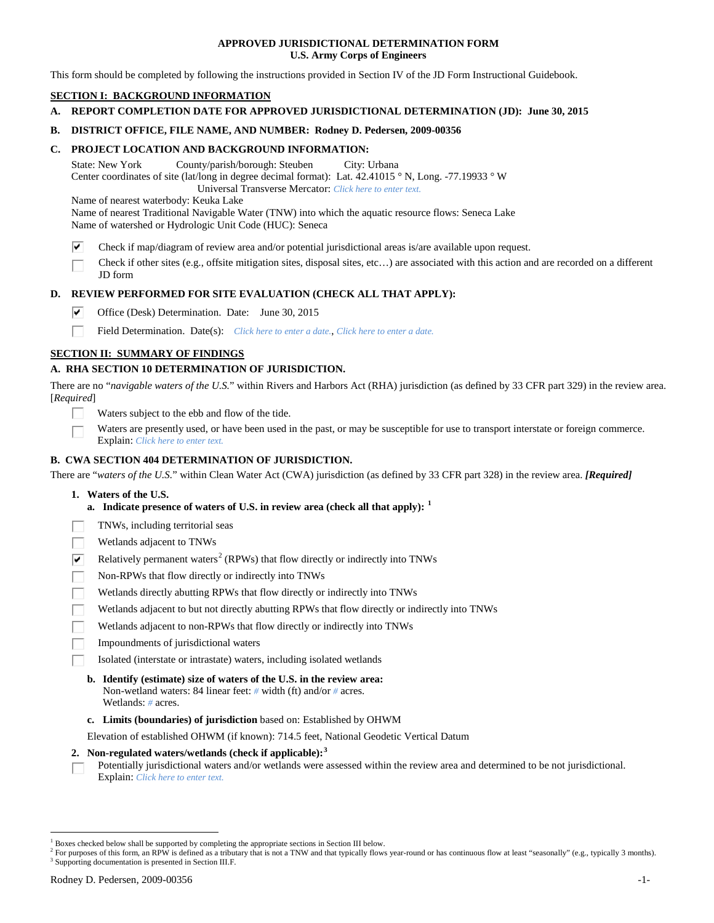### **APPROVED JURISDICTIONAL DETERMINATION FORM U.S. Army Corps of Engineers**

This form should be completed by following the instructions provided in Section IV of the JD Form Instructional Guidebook.

# **SECTION I: BACKGROUND INFORMATION**

**A. REPORT COMPLETION DATE FOR APPROVED JURISDICTIONAL DETERMINATION (JD): June 30, 2015**

### **B. DISTRICT OFFICE, FILE NAME, AND NUMBER: Rodney D. Pedersen, 2009-00356**

### **C. PROJECT LOCATION AND BACKGROUND INFORMATION:**

State: New York County/parish/borough: Steuben City: Urbana Center coordinates of site (lat/long in degree decimal format): Lat. 42.41015 ° N, Long. -77.19933 ° W Universal Transverse Mercator: *Click here to enter text.*

Name of nearest waterbody: Keuka Lake

Name of nearest Traditional Navigable Water (TNW) into which the aquatic resource flows: Seneca Lake Name of watershed or Hydrologic Unit Code (HUC): Seneca

- ⊽ Check if map/diagram of review area and/or potential jurisdictional areas is/are available upon request.
- Check if other sites (e.g., offsite mitigation sites, disposal sites, etc…) are associated with this action and are recorded on a different JD form

## **D. REVIEW PERFORMED FOR SITE EVALUATION (CHECK ALL THAT APPLY):**

⊽ Office (Desk) Determination. Date: June 30, 2015

п Field Determination. Date(s): *Click here to enter a date.*, *Click here to enter a date.*

## **SECTION II: SUMMARY OF FINDINGS**

## **A. RHA SECTION 10 DETERMINATION OF JURISDICTION.**

There are no "*navigable waters of the U.S.*" within Rivers and Harbors Act (RHA) jurisdiction (as defined by 33 CFR part 329) in the review area. [*Required*]

- Waters subject to the ebb and flow of the tide.
- Waters are presently used, or have been used in the past, or may be susceptible for use to transport interstate or foreign commerce. Explain: *Click here to enter text.*

# **B. CWA SECTION 404 DETERMINATION OF JURISDICTION.**

There are "*waters of the U.S.*" within Clean Water Act (CWA) jurisdiction (as defined by 33 CFR part 328) in the review area. *[Required]*

- **1. Waters of the U.S.**
	- **a. Indicate presence of waters of U.S. in review area (check all that apply): [1](#page-0-0)**
- TNWs, including territorial seas
- Wetlands adjacent to TNWs
- Relatively permanent waters<sup>[2](#page-0-1)</sup> (RPWs) that flow directly or indirectly into TNWs ⊽
- Non-RPWs that flow directly or indirectly into TNWs
- Wetlands directly abutting RPWs that flow directly or indirectly into TNWs
- Wetlands adjacent to but not directly abutting RPWs that flow directly or indirectly into TNWs
- Wetlands adjacent to non-RPWs that flow directly or indirectly into TNWs
- Impoundments of jurisdictional waters
- Isolated (interstate or intrastate) waters, including isolated wetlands
- **b. Identify (estimate) size of waters of the U.S. in the review area:** Non-wetland waters: 84 linear feet: *#* width (ft) and/or *#* acres. Wetlands: *#* acres.
- **c. Limits (boundaries) of jurisdiction** based on: Established by OHWM

Elevation of established OHWM (if known): 714.5 feet, National Geodetic Vertical Datum

## **2. Non-regulated waters/wetlands (check if applicable): [3](#page-0-2)**

Potentially jurisdictional waters and/or wetlands were assessed within the review area and determined to be not jurisdictional. П. Explain: *Click here to enter text.*

<span id="page-0-0"></span><sup>&</sup>lt;sup>1</sup> Boxes checked below shall be supported by completing the appropriate sections in Section III below.

<span id="page-0-2"></span><span id="page-0-1"></span> $^2$  For purposes of this form, an RPW is defined as a tributary that is not a TNW and that typically flows year-round or has continuous flow at least "seasonally" (e.g., typically 3 months). 3 Supporting documentation is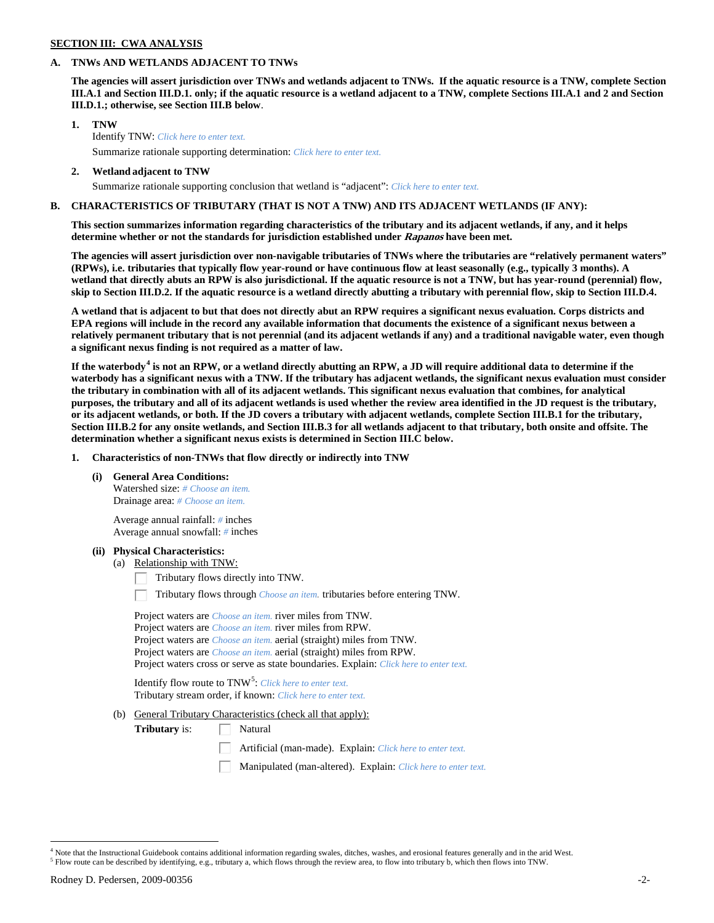# **SECTION III: CWA ANALYSIS**

## **A. TNWs AND WETLANDS ADJACENT TO TNWs**

**The agencies will assert jurisdiction over TNWs and wetlands adjacent to TNWs. If the aquatic resource is a TNW, complete Section III.A.1 and Section III.D.1. only; if the aquatic resource is a wetland adjacent to a TNW, complete Sections III.A.1 and 2 and Section III.D.1.; otherwise, see Section III.B below**.

- **1. TNW**  Identify TNW: *Click here to enter text.*
	- Summarize rationale supporting determination: *Click here to enter text.*
- **2. Wetland adjacent to TNW** Summarize rationale supporting conclusion that wetland is "adjacent": *Click here to enter text.*

# **B. CHARACTERISTICS OF TRIBUTARY (THAT IS NOT A TNW) AND ITS ADJACENT WETLANDS (IF ANY):**

**This section summarizes information regarding characteristics of the tributary and its adjacent wetlands, if any, and it helps determine whether or not the standards for jurisdiction established under Rapanos have been met.** 

**The agencies will assert jurisdiction over non-navigable tributaries of TNWs where the tributaries are "relatively permanent waters" (RPWs), i.e. tributaries that typically flow year-round or have continuous flow at least seasonally (e.g., typically 3 months). A wetland that directly abuts an RPW is also jurisdictional. If the aquatic resource is not a TNW, but has year-round (perennial) flow, skip to Section III.D.2. If the aquatic resource is a wetland directly abutting a tributary with perennial flow, skip to Section III.D.4.**

**A wetland that is adjacent to but that does not directly abut an RPW requires a significant nexus evaluation. Corps districts and EPA regions will include in the record any available information that documents the existence of a significant nexus between a relatively permanent tributary that is not perennial (and its adjacent wetlands if any) and a traditional navigable water, even though a significant nexus finding is not required as a matter of law.**

**If the waterbody[4](#page-1-0) is not an RPW, or a wetland directly abutting an RPW, a JD will require additional data to determine if the waterbody has a significant nexus with a TNW. If the tributary has adjacent wetlands, the significant nexus evaluation must consider the tributary in combination with all of its adjacent wetlands. This significant nexus evaluation that combines, for analytical purposes, the tributary and all of its adjacent wetlands is used whether the review area identified in the JD request is the tributary, or its adjacent wetlands, or both. If the JD covers a tributary with adjacent wetlands, complete Section III.B.1 for the tributary, Section III.B.2 for any onsite wetlands, and Section III.B.3 for all wetlands adjacent to that tributary, both onsite and offsite. The determination whether a significant nexus exists is determined in Section III.C below.**

**1. Characteristics of non-TNWs that flow directly or indirectly into TNW**

**(i) General Area Conditions:**

Watershed size: *# Choose an item.* Drainage area: *# Choose an item.*

Average annual rainfall: *#* inches Average annual snowfall: *#* inches

# **(ii) Physical Characteristics:**

(a) Relationship with TNW:

Tributary flows directly into TNW.

Tributary flows through *Choose an item.* tributaries before entering TNW.

| Project waters are <i>Choose an item</i> , river miles from TNW.                      |
|---------------------------------------------------------------------------------------|
| Project waters are <i>Choose an item</i> , river miles from RPW.                      |
| Project waters are <i>Choose an item.</i> aerial (straight) miles from TNW.           |
| Project waters are <i>Choose an item.</i> aerial (straight) miles from RPW.           |
| Project waters cross or serve as state boundaries. Explain: Click here to enter text. |

Identify flow route to TNW<sup>[5](#page-1-1)</sup>: *Click here to enter text.* Tributary stream order, if known: *Click here to enter text.*

(b) General Tributary Characteristics (check all that apply):

**Tributary** is:  $\Box$  Natural

Artificial (man-made). Explain: *Click here to enter text.*

Manipulated (man-altered). Explain: *Click here to enter text.*

<span id="page-1-1"></span><span id="page-1-0"></span> $4$  Note that the Instructional Guidebook contains additional information regarding swales, ditches, washes, and erosional features generally and in the arid West.<br> $5$  Flow route can be described by identifying, e.g., tri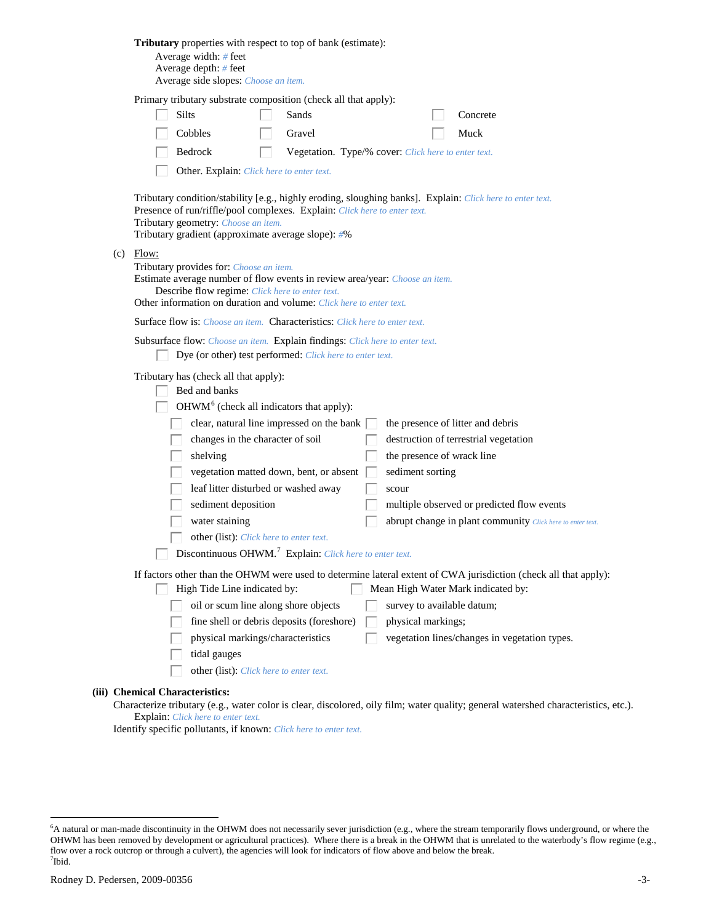| Tributary properties with respect to top of bank (estimate):<br>Average width: $#$ feet<br>Average depth: # feet<br>Average side slopes: Choose an item.                                                                                                                                                                                                                                                                                                                                                                                                                                                                                                                                                                  |
|---------------------------------------------------------------------------------------------------------------------------------------------------------------------------------------------------------------------------------------------------------------------------------------------------------------------------------------------------------------------------------------------------------------------------------------------------------------------------------------------------------------------------------------------------------------------------------------------------------------------------------------------------------------------------------------------------------------------------|
| Primary tributary substrate composition (check all that apply):<br>Silts<br>Sands<br>Concrete<br>Cobbles<br>Gravel<br>Muck<br>Bedrock<br>Vegetation. Type/% cover: Click here to enter text.<br>Other. Explain: Click here to enter text.                                                                                                                                                                                                                                                                                                                                                                                                                                                                                 |
| Tributary condition/stability [e.g., highly eroding, sloughing banks]. Explain: Click here to enter text.<br>Presence of run/riffle/pool complexes. Explain: Click here to enter text.<br>Tributary geometry: Choose an item.<br>Tributary gradient (approximate average slope): #%                                                                                                                                                                                                                                                                                                                                                                                                                                       |
| $(c)$ Flow:<br>Tributary provides for: Choose an item.<br>Estimate average number of flow events in review area/year: Choose an item.<br>Describe flow regime: Click here to enter text.<br>Other information on duration and volume: Click here to enter text.                                                                                                                                                                                                                                                                                                                                                                                                                                                           |
| <b>Surface flow is:</b> <i>Choose an item.</i> <b>Characteristics:</b> <i>Click here to enter text.</i>                                                                                                                                                                                                                                                                                                                                                                                                                                                                                                                                                                                                                   |
| Subsurface flow: Choose an item. Explain findings: Click here to enter text.<br>Dye (or other) test performed: Click here to enter text.                                                                                                                                                                                                                                                                                                                                                                                                                                                                                                                                                                                  |
| Tributary has (check all that apply):<br>Bed and banks<br>OHWM <sup>6</sup> (check all indicators that apply):<br>clear, natural line impressed on the bank  <br>the presence of litter and debris<br>changes in the character of soil<br>destruction of terrestrial vegetation<br>shelving<br>the presence of wrack line<br>vegetation matted down, bent, or absent  <br>sediment sorting<br>leaf litter disturbed or washed away<br>scour<br>sediment deposition<br>multiple observed or predicted flow events<br>water staining<br>abrupt change in plant community Click here to enter text.<br>other (list): Click here to enter text.<br>$\Box$ Discontinuous OHWM. <sup>7</sup> Explain: Click here to enter text. |
| If factors other than the OHWM were used to determine lateral extent of CWA jurisdiction (check all that apply):<br>High Tide Line indicated by:<br>Mean High Water Mark indicated by:<br>oil or scum line along shore objects<br>survey to available datum;<br>fine shell or debris deposits (foreshore)<br>physical markings;<br>physical markings/characteristics<br>vegetation lines/changes in vegetation types.<br>tidal gauges<br>other (list): Click here to enter text.                                                                                                                                                                                                                                          |
| (iii) Chemical Characteristics:                                                                                                                                                                                                                                                                                                                                                                                                                                                                                                                                                                                                                                                                                           |

Characterize tributary (e.g., water color is clear, discolored, oily film; water quality; general watershed characteristics, etc.). Explain: *Click here to enter text.*

Identify specific pollutants, if known: *Click here to enter text.*

<span id="page-2-1"></span><span id="page-2-0"></span> <sup>6</sup> <sup>6</sup>A natural or man-made discontinuity in the OHWM does not necessarily sever jurisdiction (e.g., where the stream temporarily flows underground, or where the OHWM has been removed by development or agricultural practices). Where there is a break in the OHWM that is unrelated to the waterbody's flow regime (e.g., flow over a rock outcrop or through a culvert), the agencies will look for indicators of flow above and below the break. 7 Ibid.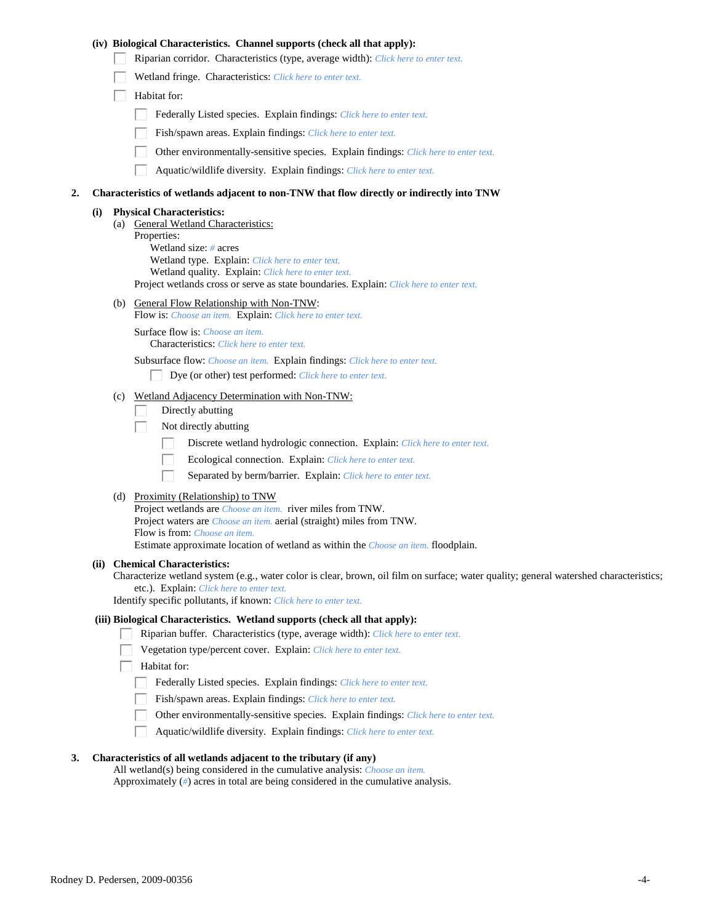|    |     |                                                                                           | (iv) Biological Characteristics. Channel supports (check all that apply):                                                                                                                                                                                                                                                |  |  |  |  |
|----|-----|-------------------------------------------------------------------------------------------|--------------------------------------------------------------------------------------------------------------------------------------------------------------------------------------------------------------------------------------------------------------------------------------------------------------------------|--|--|--|--|
|    |     |                                                                                           | Riparian corridor. Characteristics (type, average width): Click here to enter text.                                                                                                                                                                                                                                      |  |  |  |  |
|    |     |                                                                                           | Wetland fringe. Characteristics: Click here to enter text.                                                                                                                                                                                                                                                               |  |  |  |  |
|    |     |                                                                                           | Habitat for:                                                                                                                                                                                                                                                                                                             |  |  |  |  |
|    |     |                                                                                           | Federally Listed species. Explain findings: Click here to enter text.                                                                                                                                                                                                                                                    |  |  |  |  |
|    |     |                                                                                           | Fish/spawn areas. Explain findings: Click here to enter text.                                                                                                                                                                                                                                                            |  |  |  |  |
|    |     |                                                                                           | Other environmentally-sensitive species. Explain findings: Click here to enter text.                                                                                                                                                                                                                                     |  |  |  |  |
|    |     |                                                                                           | Aquatic/wildlife diversity. Explain findings: Click here to enter text.                                                                                                                                                                                                                                                  |  |  |  |  |
| 2. |     | Characteristics of wetlands adjacent to non-TNW that flow directly or indirectly into TNW |                                                                                                                                                                                                                                                                                                                          |  |  |  |  |
|    | (i) |                                                                                           | <b>Physical Characteristics:</b><br>(a) General Wetland Characteristics:<br>Properties:<br>Wetland size: $#$ acres<br>Wetland type. Explain: Click here to enter text.<br>Wetland quality. Explain: Click here to enter text.<br>Project wetlands cross or serve as state boundaries. Explain: Click here to enter text. |  |  |  |  |
|    |     |                                                                                           | (b) General Flow Relationship with Non-TNW:                                                                                                                                                                                                                                                                              |  |  |  |  |
|    |     |                                                                                           | Flow is: Choose an item. Explain: Click here to enter text.<br>Surface flow is: Choose an item.                                                                                                                                                                                                                          |  |  |  |  |
|    |     |                                                                                           | <b>Characteristics:</b> Click here to enter text.                                                                                                                                                                                                                                                                        |  |  |  |  |
|    |     |                                                                                           | Subsurface flow: Choose an item. Explain findings: Click here to enter text.                                                                                                                                                                                                                                             |  |  |  |  |
|    |     |                                                                                           | Dye (or other) test performed: Click here to enter text.                                                                                                                                                                                                                                                                 |  |  |  |  |
|    |     | (c)                                                                                       | Wetland Adjacency Determination with Non-TNW:                                                                                                                                                                                                                                                                            |  |  |  |  |
|    |     |                                                                                           | Directly abutting                                                                                                                                                                                                                                                                                                        |  |  |  |  |
|    |     |                                                                                           | Not directly abutting<br>L<br>Discrete wetland hydrologic connection. Explain: Click here to enter text.                                                                                                                                                                                                                 |  |  |  |  |
|    |     |                                                                                           | Ecological connection. Explain: Click here to enter text.                                                                                                                                                                                                                                                                |  |  |  |  |
|    |     |                                                                                           | Separated by berm/barrier. Explain: Click here to enter text.                                                                                                                                                                                                                                                            |  |  |  |  |
|    |     |                                                                                           |                                                                                                                                                                                                                                                                                                                          |  |  |  |  |
|    |     |                                                                                           | (d) Proximity (Relationship) to TNW<br>Project wetlands are <i>Choose an item.</i> river miles from TNW.                                                                                                                                                                                                                 |  |  |  |  |
|    |     |                                                                                           | Project waters are <i>Choose an item.</i> aerial (straight) miles from TNW.                                                                                                                                                                                                                                              |  |  |  |  |
|    |     |                                                                                           | Flow is from: Choose an item.<br>Estimate approximate location of wetland as within the <i>Choose an item</i> . floodplain.                                                                                                                                                                                              |  |  |  |  |
|    |     |                                                                                           | (ii) Chemical Characteristics:<br>Characterize wetland system (e.g., water color is clear, brown, oil film on surface; water quality; general watershed characteristics;<br>etc.). Explain: Click here to enter text.<br>Identify specific pollutants, if known: Click here to enter text.                               |  |  |  |  |
|    |     |                                                                                           | (iii) Biological Characteristics. Wetland supports (check all that apply):                                                                                                                                                                                                                                               |  |  |  |  |
|    |     |                                                                                           | Riparian buffer. Characteristics (type, average width): Click here to enter text.                                                                                                                                                                                                                                        |  |  |  |  |
|    |     |                                                                                           | Vegetation type/percent cover. Explain: Click here to enter text.<br>Habitat for:                                                                                                                                                                                                                                        |  |  |  |  |
|    |     |                                                                                           | Federally Listed species. Explain findings: Click here to enter text.                                                                                                                                                                                                                                                    |  |  |  |  |
|    |     |                                                                                           | Fish/spawn areas. Explain findings: Click here to enter text.                                                                                                                                                                                                                                                            |  |  |  |  |
|    |     |                                                                                           | Other environmentally-sensitive species. Explain findings: Click here to enter text.                                                                                                                                                                                                                                     |  |  |  |  |
|    |     |                                                                                           | Aquatic/wildlife diversity. Explain findings: Click here to enter text.                                                                                                                                                                                                                                                  |  |  |  |  |
|    |     |                                                                                           |                                                                                                                                                                                                                                                                                                                          |  |  |  |  |

#### **3. Characteristics of all wetlands adjacent to the tributary (if any)**

All wetland(s) being considered in the cumulative analysis: *Choose an item.* Approximately (*#*) acres in total are being considered in the cumulative analysis.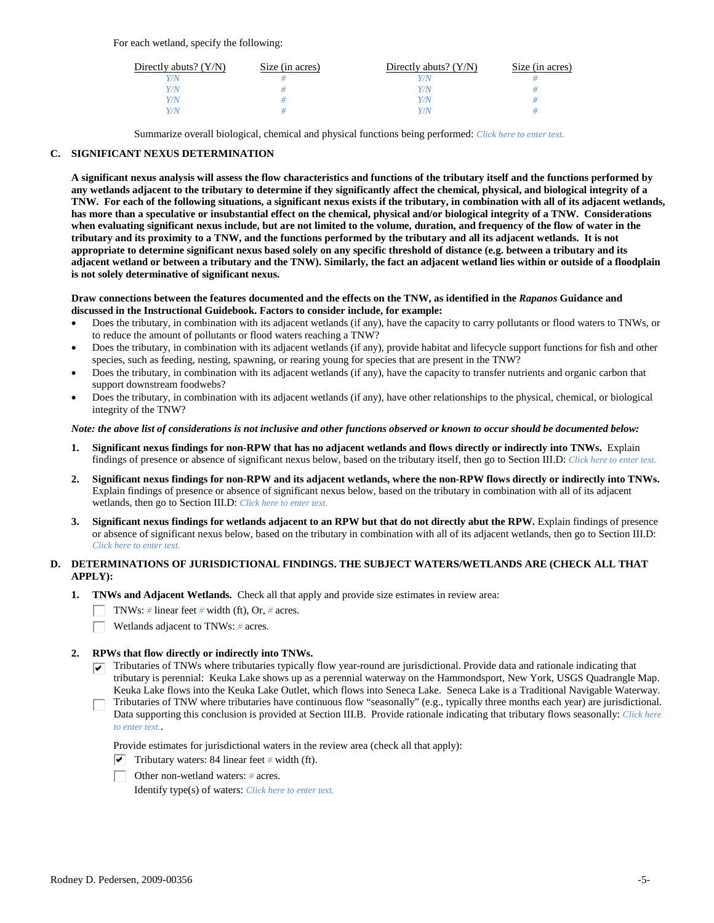For each wetland, specify the following:

| Directly abuts? $(Y/N)$ | Size (in acres) | Directly abuts? $(Y/N)$ | Size (in acres) |
|-------------------------|-----------------|-------------------------|-----------------|
|                         |                 |                         |                 |
| V/N                     |                 | Y/N                     |                 |
| V/N                     |                 | Y/N                     |                 |
|                         |                 | Y/N                     |                 |

Summarize overall biological, chemical and physical functions being performed: *Click here to enter text.*

## **C. SIGNIFICANT NEXUS DETERMINATION**

**A significant nexus analysis will assess the flow characteristics and functions of the tributary itself and the functions performed by any wetlands adjacent to the tributary to determine if they significantly affect the chemical, physical, and biological integrity of a TNW. For each of the following situations, a significant nexus exists if the tributary, in combination with all of its adjacent wetlands, has more than a speculative or insubstantial effect on the chemical, physical and/or biological integrity of a TNW. Considerations when evaluating significant nexus include, but are not limited to the volume, duration, and frequency of the flow of water in the tributary and its proximity to a TNW, and the functions performed by the tributary and all its adjacent wetlands. It is not appropriate to determine significant nexus based solely on any specific threshold of distance (e.g. between a tributary and its adjacent wetland or between a tributary and the TNW). Similarly, the fact an adjacent wetland lies within or outside of a floodplain is not solely determinative of significant nexus.** 

#### **Draw connections between the features documented and the effects on the TNW, as identified in the** *Rapanos* **Guidance and discussed in the Instructional Guidebook. Factors to consider include, for example:**

- Does the tributary, in combination with its adjacent wetlands (if any), have the capacity to carry pollutants or flood waters to TNWs, or to reduce the amount of pollutants or flood waters reaching a TNW?
- Does the tributary, in combination with its adjacent wetlands (if any), provide habitat and lifecycle support functions for fish and other species, such as feeding, nesting, spawning, or rearing young for species that are present in the TNW?
- Does the tributary, in combination with its adjacent wetlands (if any), have the capacity to transfer nutrients and organic carbon that support downstream foodwebs?
- Does the tributary, in combination with its adjacent wetlands (if any), have other relationships to the physical, chemical, or biological integrity of the TNW?

#### *Note: the above list of considerations is not inclusive and other functions observed or known to occur should be documented below:*

- **1. Significant nexus findings for non-RPW that has no adjacent wetlands and flows directly or indirectly into TNWs.** Explain findings of presence or absence of significant nexus below, based on the tributary itself, then go to Section III.D: *Click here to enter text.*
- **2. Significant nexus findings for non-RPW and its adjacent wetlands, where the non-RPW flows directly or indirectly into TNWs.**  Explain findings of presence or absence of significant nexus below, based on the tributary in combination with all of its adjacent wetlands, then go to Section III.D: *Click here to enter text.*
- **3. Significant nexus findings for wetlands adjacent to an RPW but that do not directly abut the RPW.** Explain findings of presence or absence of significant nexus below, based on the tributary in combination with all of its adjacent wetlands, then go to Section III.D: *Click here to enter text.*

# **D. DETERMINATIONS OF JURISDICTIONAL FINDINGS. THE SUBJECT WATERS/WETLANDS ARE (CHECK ALL THAT APPLY):**

- **1. TNWs and Adjacent Wetlands.** Check all that apply and provide size estimates in review area:
	- TNWs: *#* linear feet *#* width (ft), Or, *#* acres.
	- Wetlands adjacent to TNWs: *#* acres.

## **2. RPWs that flow directly or indirectly into TNWs.**

- $\nabla$  Tributaries of TNWs where tributaries typically flow year-round are jurisdictional. Provide data and rationale indicating that tributary is perennial: Keuka Lake shows up as a perennial waterway on the Hammondsport, New York, USGS Quadrangle Map. Keuka Lake flows into the Keuka Lake Outlet, which flows into Seneca Lake. Seneca Lake is a Traditional Navigable Waterway.
- Tributaries of TNW where tributaries have continuous flow "seasonally" (e.g., typically three months each year) are jurisdictional. Data supporting this conclusion is provided at Section III.B. Provide rationale indicating that tributary flows seasonally: *Click here to enter text.*.

Provide estimates for jurisdictional waters in the review area (check all that apply):

- $\triangledown$  Tributary waters: 84 linear feet # width (ft).
- Other non-wetland waters: *#* acres.

Identify type(s) of waters: *Click here to enter text.*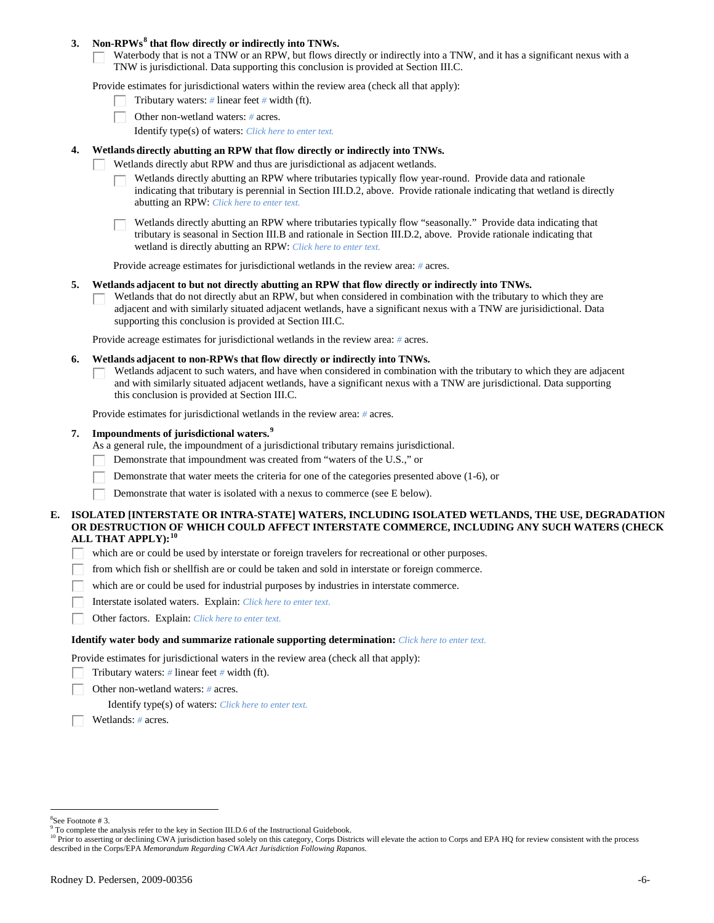### **3. Non-RPWs[8](#page-5-0) that flow directly or indirectly into TNWs.**

Waterbody that is not a TNW or an RPW, but flows directly or indirectly into a TNW, and it has a significant nexus with a TNW is jurisdictional. Data supporting this conclusion is provided at Section III.C.

Provide estimates for jurisdictional waters within the review area (check all that apply):

- Tributary waters: *#* linear feet *#* width (ft).
- Other non-wetland waters: *#* acres.
	- Identify type(s) of waters: *Click here to enter text.*
- **4. Wetlands directly abutting an RPW that flow directly or indirectly into TNWs.**
	- Wetlands directly abut RPW and thus are jurisdictional as adjacent wetlands.
		- Wetlands directly abutting an RPW where tributaries typically flow year-round. Provide data and rationale indicating that tributary is perennial in Section III.D.2, above. Provide rationale indicating that wetland is directly abutting an RPW: *Click here to enter text.*

Wetlands directly abutting an RPW where tributaries typically flow "seasonally." Provide data indicating that tributary is seasonal in Section III.B and rationale in Section III.D.2, above. Provide rationale indicating that wetland is directly abutting an RPW: *Click here to enter text.*

Provide acreage estimates for jurisdictional wetlands in the review area: *#* acres.

- **5. Wetlands adjacent to but not directly abutting an RPW that flow directly or indirectly into TNWs.**
	- Wetlands that do not directly abut an RPW, but when considered in combination with the tributary to which they are adjacent and with similarly situated adjacent wetlands, have a significant nexus with a TNW are jurisidictional. Data supporting this conclusion is provided at Section III.C.

Provide acreage estimates for jurisdictional wetlands in the review area: *#* acres.

- **6. Wetlands adjacent to non-RPWs that flow directly or indirectly into TNWs.** 
	- Wetlands adjacent to such waters, and have when considered in combination with the tributary to which they are adjacent and with similarly situated adjacent wetlands, have a significant nexus with a TNW are jurisdictional. Data supporting this conclusion is provided at Section III.C.

Provide estimates for jurisdictional wetlands in the review area: *#* acres.

## **7. Impoundments of jurisdictional waters. [9](#page-5-1)**

As a general rule, the impoundment of a jurisdictional tributary remains jurisdictional.

- Demonstrate that impoundment was created from "waters of the U.S.," or
- Demonstrate that water meets the criteria for one of the categories presented above (1-6), or
- Demonstrate that water is isolated with a nexus to commerce (see E below).
- **E. ISOLATED [INTERSTATE OR INTRA-STATE] WATERS, INCLUDING ISOLATED WETLANDS, THE USE, DEGRADATION OR DESTRUCTION OF WHICH COULD AFFECT INTERSTATE COMMERCE, INCLUDING ANY SUCH WATERS (CHECK ALL THAT APPLY):[10](#page-5-2)**
	- which are or could be used by interstate or foreign travelers for recreational or other purposes.
	- from which fish or shellfish are or could be taken and sold in interstate or foreign commerce. П.
	- which are or could be used for industrial purposes by industries in interstate commerce.
	- П. Interstate isolated waters.Explain: *Click here to enter text.*
	- Е Other factors.Explain: *Click here to enter text.*

#### **Identify water body and summarize rationale supporting determination:** *Click here to enter text.*

Provide estimates for jurisdictional waters in the review area (check all that apply):

- Tributary waters: *#* linear feet *#* width (ft).
- Other non-wetland waters: *#* acres.

Identify type(s) of waters: *Click here to enter text.*

Wetlands: *#* acres.

 $\frac{1}{8}$ See Footnote # 3.

<span id="page-5-1"></span><span id="page-5-0"></span><sup>&</sup>lt;sup>9</sup> To complete the analysis refer to the key in Section III.D.6 of the Instructional Guidebook.

<span id="page-5-2"></span><sup>&</sup>lt;sup>10</sup> Prior to asserting or declining CWA jurisdiction based solely on this category, Corps Districts will elevate the action to Corps and EPA HQ for review consistent with the process described in the Corps/EPA *Memorandum Regarding CWA Act Jurisdiction Following Rapanos.*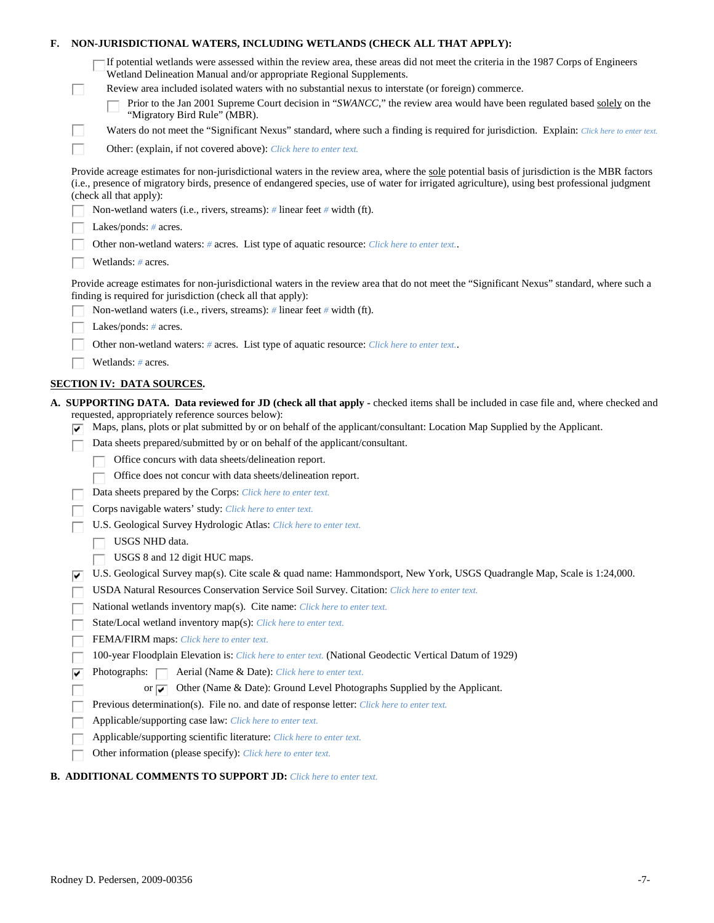| F. |    | NON-JURISDICTIONAL WATERS, INCLUDING WETLANDS (CHECK ALL THAT APPLY):                                                                                                                                                                                                                                                                                                                                                                                                     |  |  |  |  |  |
|----|----|---------------------------------------------------------------------------------------------------------------------------------------------------------------------------------------------------------------------------------------------------------------------------------------------------------------------------------------------------------------------------------------------------------------------------------------------------------------------------|--|--|--|--|--|
|    | ш  | If potential wetlands were assessed within the review area, these areas did not meet the criteria in the 1987 Corps of Engineers<br>Wetland Delineation Manual and/or appropriate Regional Supplements.<br>Review area included isolated waters with no substantial nexus to interstate (or foreign) commerce.<br>Prior to the Jan 2001 Supreme Court decision in "SWANCC," the review area would have been regulated based solely on the<br>"Migratory Bird Rule" (MBR). |  |  |  |  |  |
|    | H  | Waters do not meet the "Significant Nexus" standard, where such a finding is required for jurisdiction. Explain: Click here to enter text.                                                                                                                                                                                                                                                                                                                                |  |  |  |  |  |
|    | L. | Other: (explain, if not covered above): Click here to enter text.                                                                                                                                                                                                                                                                                                                                                                                                         |  |  |  |  |  |
|    |    |                                                                                                                                                                                                                                                                                                                                                                                                                                                                           |  |  |  |  |  |
|    |    | Provide acreage estimates for non-jurisdictional waters in the review area, where the sole potential basis of jurisdiction is the MBR factors<br>(i.e., presence of migratory birds, presence of endangered species, use of water for irrigated agriculture), using best professional judgment<br>(check all that apply):                                                                                                                                                 |  |  |  |  |  |
|    |    | Non-wetland waters (i.e., rivers, streams): $\#$ linear feet $\#$ width (ft).                                                                                                                                                                                                                                                                                                                                                                                             |  |  |  |  |  |
|    |    | Lakes/ponds: $# \, \text{acres.}$                                                                                                                                                                                                                                                                                                                                                                                                                                         |  |  |  |  |  |
|    |    | Other non-wetland waters: # acres. List type of aquatic resource: Click here to enter text                                                                                                                                                                                                                                                                                                                                                                                |  |  |  |  |  |
|    |    | Wetlands: # acres.                                                                                                                                                                                                                                                                                                                                                                                                                                                        |  |  |  |  |  |
|    |    | Provide acreage estimates for non-jurisdictional waters in the review area that do not meet the "Significant Nexus" standard, where such a<br>finding is required for jurisdiction (check all that apply):                                                                                                                                                                                                                                                                |  |  |  |  |  |
|    |    | Non-wetland waters (i.e., rivers, streams): $\#$ linear feet $\#$ width (ft).                                                                                                                                                                                                                                                                                                                                                                                             |  |  |  |  |  |
|    |    | Lakes/ponds: $# \, \text{acres.}$                                                                                                                                                                                                                                                                                                                                                                                                                                         |  |  |  |  |  |
|    |    | Other non-wetland waters: # acres. List type of aquatic resource: Click here to enter text                                                                                                                                                                                                                                                                                                                                                                                |  |  |  |  |  |
|    |    | Wetlands: # acres.                                                                                                                                                                                                                                                                                                                                                                                                                                                        |  |  |  |  |  |
|    |    | <b>SECTION IV: DATA SOURCES.</b>                                                                                                                                                                                                                                                                                                                                                                                                                                          |  |  |  |  |  |
|    | ⊮  | A. SUPPORTING DATA. Data reviewed for JD (check all that apply - checked items shall be included in case file and, where checked and<br>requested, appropriately reference sources below):<br>Maps, plans, plots or plat submitted by or on behalf of the applicant/consultant: Location Map Supplied by the Applicant.                                                                                                                                                   |  |  |  |  |  |
|    |    | Data sheets prepared/submitted by or on behalf of the applicant/consultant.                                                                                                                                                                                                                                                                                                                                                                                               |  |  |  |  |  |
|    |    | Office concurs with data sheets/delineation report.                                                                                                                                                                                                                                                                                                                                                                                                                       |  |  |  |  |  |
|    |    | Office does not concur with data sheets/delineation report.                                                                                                                                                                                                                                                                                                                                                                                                               |  |  |  |  |  |
|    |    | Data sheets prepared by the Corps: Click here to enter text.                                                                                                                                                                                                                                                                                                                                                                                                              |  |  |  |  |  |
|    |    | Corps navigable waters' study: Click here to enter text.                                                                                                                                                                                                                                                                                                                                                                                                                  |  |  |  |  |  |
|    |    | U.S. Geological Survey Hydrologic Atlas: Click here to enter text.                                                                                                                                                                                                                                                                                                                                                                                                        |  |  |  |  |  |
|    |    | USGS NHD data.                                                                                                                                                                                                                                                                                                                                                                                                                                                            |  |  |  |  |  |
|    |    | USGS 8 and 12 digit HUC maps.                                                                                                                                                                                                                                                                                                                                                                                                                                             |  |  |  |  |  |
|    | ⊮  | U.S. Geological Survey map(s). Cite scale & quad name: Hammondsport, New York, USGS Quadrangle Map, Scale is 1:24,000.                                                                                                                                                                                                                                                                                                                                                    |  |  |  |  |  |
|    |    | USDA Natural Resources Conservation Service Soil Survey. Citation: Click here to enter text.                                                                                                                                                                                                                                                                                                                                                                              |  |  |  |  |  |
|    |    | National wetlands inventory map(s). Cite name: Click here to enter text.                                                                                                                                                                                                                                                                                                                                                                                                  |  |  |  |  |  |
|    |    | State/Local wetland inventory map(s): Click here to enter text.                                                                                                                                                                                                                                                                                                                                                                                                           |  |  |  |  |  |
|    |    | FEMA/FIRM maps: Click here to enter text.                                                                                                                                                                                                                                                                                                                                                                                                                                 |  |  |  |  |  |
|    |    | 100-year Floodplain Elevation is: Click here to enter text. (National Geodectic Vertical Datum of 1929)                                                                                                                                                                                                                                                                                                                                                                   |  |  |  |  |  |
|    | ⊽  | Aerial (Name & Date): Click here to enter text.<br>Photographs: $\Box$                                                                                                                                                                                                                                                                                                                                                                                                    |  |  |  |  |  |
|    |    | Other (Name & Date): Ground Level Photographs Supplied by the Applicant.<br>or $\overline{\mathbf{v}}$                                                                                                                                                                                                                                                                                                                                                                    |  |  |  |  |  |
|    |    | Previous determination(s). File no. and date of response letter: Click here to enter text.                                                                                                                                                                                                                                                                                                                                                                                |  |  |  |  |  |
|    |    | Applicable/supporting case law: Click here to enter text.                                                                                                                                                                                                                                                                                                                                                                                                                 |  |  |  |  |  |
|    |    | Applicable/supporting scientific literature: Click here to enter text.                                                                                                                                                                                                                                                                                                                                                                                                    |  |  |  |  |  |
|    |    | Other information (please specify): Click here to enter text.                                                                                                                                                                                                                                                                                                                                                                                                             |  |  |  |  |  |
|    |    | $0.01 B$ in the theory of $0.01$ in $0.00$ in $0.00$                                                                                                                                                                                                                                                                                                                                                                                                                      |  |  |  |  |  |

# **B. ADDITIONAL COMMENTS TO SUPPORT JD:** *Click here to enter text.*